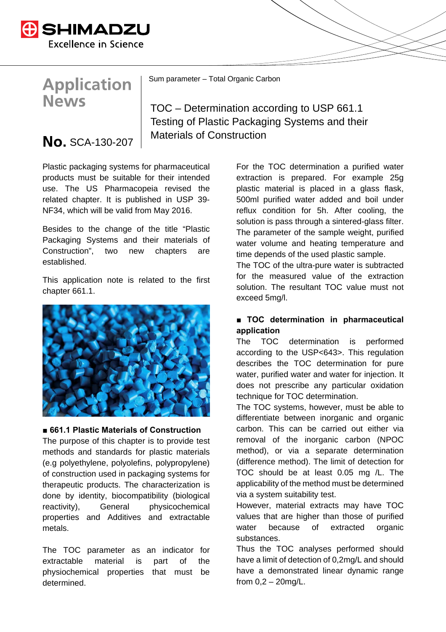

# **Application News**

Sum parameter – Total Organic Carbon

TOC – Determination according to USP 661.1 Testing of Plastic Packaging Systems and their  $\overline{\mathsf{No}}$ . SCA-130-207  $\vert$  Materials of Construction

Plastic packaging systems for pharmaceutical products must be suitable for their intended use. The US Pharmacopeia revised the related chapter. It is published in USP 39- NF34, which will be valid from May 2016.

Besides to the change of the title "Plastic Packaging Systems and their materials of Construction", two new chapters are established.

This application note is related to the first chapter 661.1.



## ■ 661.1 Plastic Materials of Construction

The purpose of this chapter is to provide test methods and standards for plastic materials (e.g polyethylene, polyolefins, polypropylene) of construction used in packaging systems for therapeutic products. The characterization is done by identity, biocompatibility (biological reactivity), General physicochemical properties and Additives and extractable metals.

The TOC parameter as an indicator for extractable material is part of the physiochemical properties that must be determined.

For the TOC determination a purified water extraction is prepared. For example 25g plastic material is placed in a glass flask, 500ml purified water added and boil under reflux condition for 5h. After cooling, the solution is pass through a sintered-glass filter. The parameter of the sample weight, purified water volume and heating temperature and time depends of the used plastic sample.

The TOC of the ultra-pure water is subtracted for the measured value of the extraction solution. The resultant TOC value must not exceed 5mg/l.

## **■ TOC determination in pharmaceutical application**

The TOC determination is performed according to the USP<643>. This regulation describes the TOC determination for pure water, purified water and water for injection. It does not prescribe any particular oxidation technique for TOC determination.

The TOC systems, however, must be able to differentiate between inorganic and organic carbon. This can be carried out either via removal of the inorganic carbon (NPOC method), or via a separate determination (difference method). The limit of detection for TOC should be at least 0.05 mg /L. The applicability of the method must be determined via a system suitability test.

However, material extracts may have TOC values that are higher than those of purified water because of extracted organic substances.

Thus the TOC analyses performed should have a limit of detection of 0,2mg/L and should have a demonstrated linear dynamic range from 0,2 – 20mg/L.